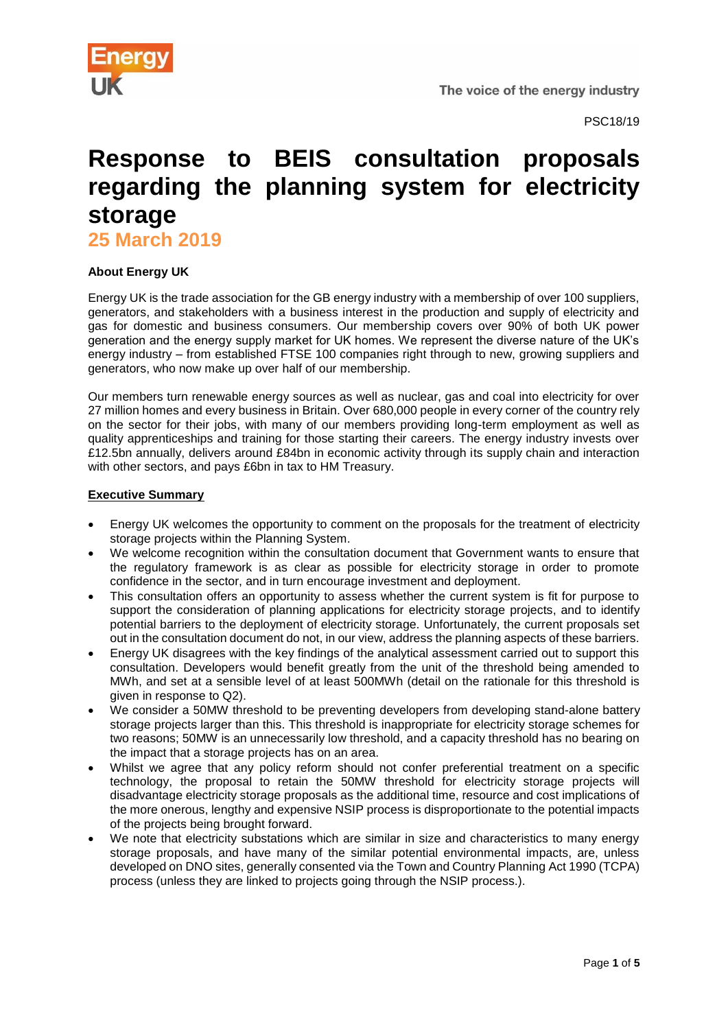

PSC18/19

# **Response to BEIS consultation proposals regarding the planning system for electricity storage**

**25 March 2019**

## **About Energy UK**

Energy UK is the trade association for the GB energy industry with a membership of over 100 suppliers, generators, and stakeholders with a business interest in the production and supply of electricity and gas for domestic and business consumers. Our membership covers over 90% of both UK power generation and the energy supply market for UK homes. We represent the diverse nature of the UK's energy industry – from established FTSE 100 companies right through to new, growing suppliers and generators, who now make up over half of our membership.

Our members turn renewable energy sources as well as nuclear, gas and coal into electricity for over 27 million homes and every business in Britain. Over 680,000 people in every corner of the country rely on the sector for their jobs, with many of our members providing long-term employment as well as quality apprenticeships and training for those starting their careers. The energy industry invests over £12.5bn annually, delivers around £84bn in economic activity through its supply chain and interaction with other sectors, and pays £6bn in tax to HM Treasury.

## **Executive Summary**

- Energy UK welcomes the opportunity to comment on the proposals for the treatment of electricity storage projects within the Planning System.
- We welcome recognition within the consultation document that Government wants to ensure that the regulatory framework is as clear as possible for electricity storage in order to promote confidence in the sector, and in turn encourage investment and deployment.
- This consultation offers an opportunity to assess whether the current system is fit for purpose to support the consideration of planning applications for electricity storage projects, and to identify potential barriers to the deployment of electricity storage. Unfortunately, the current proposals set out in the consultation document do not, in our view, address the planning aspects of these barriers.
- Energy UK disagrees with the key findings of the analytical assessment carried out to support this consultation. Developers would benefit greatly from the unit of the threshold being amended to MWh, and set at a sensible level of at least 500MWh (detail on the rationale for this threshold is given in response to Q2).
- We consider a 50MW threshold to be preventing developers from developing stand-alone battery storage projects larger than this. This threshold is inappropriate for electricity storage schemes for two reasons; 50MW is an unnecessarily low threshold, and a capacity threshold has no bearing on the impact that a storage projects has on an area.
- Whilst we agree that any policy reform should not confer preferential treatment on a specific technology, the proposal to retain the 50MW threshold for electricity storage projects will disadvantage electricity storage proposals as the additional time, resource and cost implications of the more onerous, lengthy and expensive NSIP process is disproportionate to the potential impacts of the projects being brought forward.
- We note that electricity substations which are similar in size and characteristics to many energy storage proposals, and have many of the similar potential environmental impacts, are, unless developed on DNO sites, generally consented via the Town and Country Planning Act 1990 (TCPA) process (unless they are linked to projects going through the NSIP process.).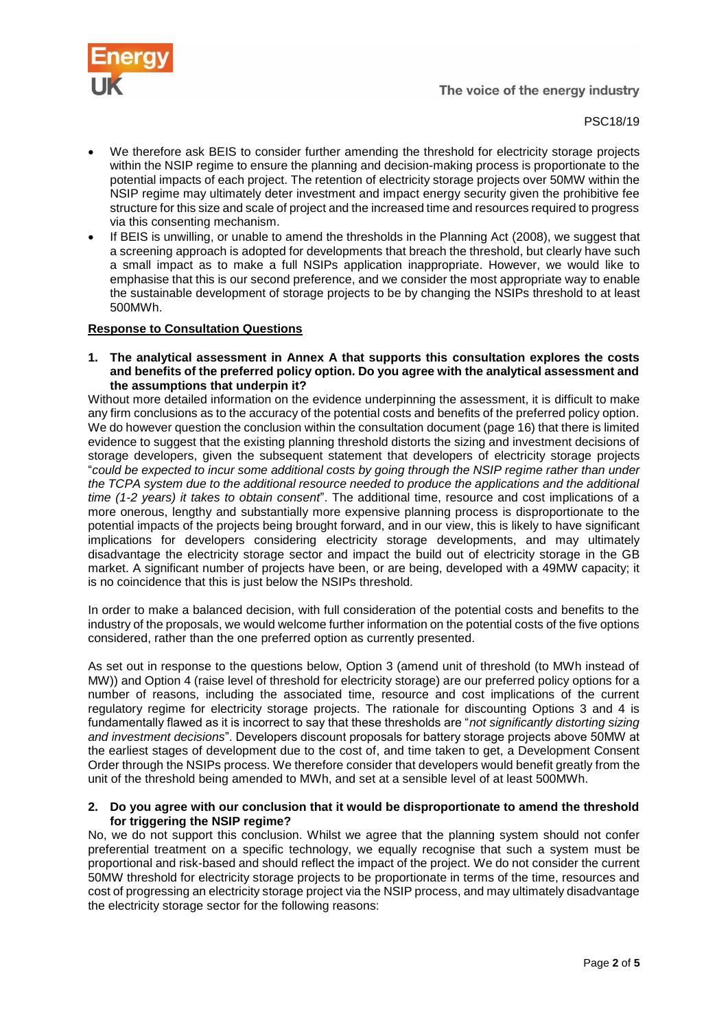

## PSC18/19

- We therefore ask BEIS to consider further amending the threshold for electricity storage projects within the NSIP regime to ensure the planning and decision-making process is proportionate to the potential impacts of each project. The retention of electricity storage projects over 50MW within the NSIP regime may ultimately deter investment and impact energy security given the prohibitive fee structure for this size and scale of project and the increased time and resources required to progress via this consenting mechanism.
- If BEIS is unwilling, or unable to amend the thresholds in the Planning Act (2008), we suggest that a screening approach is adopted for developments that breach the threshold, but clearly have such a small impact as to make a full NSIPs application inappropriate. However, we would like to emphasise that this is our second preference, and we consider the most appropriate way to enable the sustainable development of storage projects to be by changing the NSIPs threshold to at least 500MWh.

## **Response to Consultation Questions**

**1. The analytical assessment in Annex A that supports this consultation explores the costs and benefits of the preferred policy option. Do you agree with the analytical assessment and the assumptions that underpin it?**

Without more detailed information on the evidence underpinning the assessment, it is difficult to make any firm conclusions as to the accuracy of the potential costs and benefits of the preferred policy option. We do however question the conclusion within the consultation document (page 16) that there is limited evidence to suggest that the existing planning threshold distorts the sizing and investment decisions of storage developers, given the subsequent statement that developers of electricity storage projects "*could be expected to incur some additional costs by going through the NSIP regime rather than under the TCPA system due to the additional resource needed to produce the applications and the additional time (1-2 years) it takes to obtain consent*". The additional time, resource and cost implications of a more onerous, lengthy and substantially more expensive planning process is disproportionate to the potential impacts of the projects being brought forward, and in our view, this is likely to have significant implications for developers considering electricity storage developments, and may ultimately disadvantage the electricity storage sector and impact the build out of electricity storage in the GB market. A significant number of projects have been, or are being, developed with a 49MW capacity; it is no coincidence that this is just below the NSIPs threshold.

In order to make a balanced decision, with full consideration of the potential costs and benefits to the industry of the proposals, we would welcome further information on the potential costs of the five options considered, rather than the one preferred option as currently presented.

As set out in response to the questions below, Option 3 (amend unit of threshold (to MWh instead of MW)) and Option 4 (raise level of threshold for electricity storage) are our preferred policy options for a number of reasons, including the associated time, resource and cost implications of the current regulatory regime for electricity storage projects. The rationale for discounting Options 3 and 4 is fundamentally flawed as it is incorrect to say that these thresholds are "*not significantly distorting sizing and investment decisions*". Developers discount proposals for battery storage projects above 50MW at the earliest stages of development due to the cost of, and time taken to get, a Development Consent Order through the NSIPs process. We therefore consider that developers would benefit greatly from the unit of the threshold being amended to MWh, and set at a sensible level of at least 500MWh.

#### **2. Do you agree with our conclusion that it would be disproportionate to amend the threshold for triggering the NSIP regime?**

No, we do not support this conclusion. Whilst we agree that the planning system should not confer preferential treatment on a specific technology, we equally recognise that such a system must be proportional and risk-based and should reflect the impact of the project. We do not consider the current 50MW threshold for electricity storage projects to be proportionate in terms of the time, resources and cost of progressing an electricity storage project via the NSIP process, and may ultimately disadvantage the electricity storage sector for the following reasons: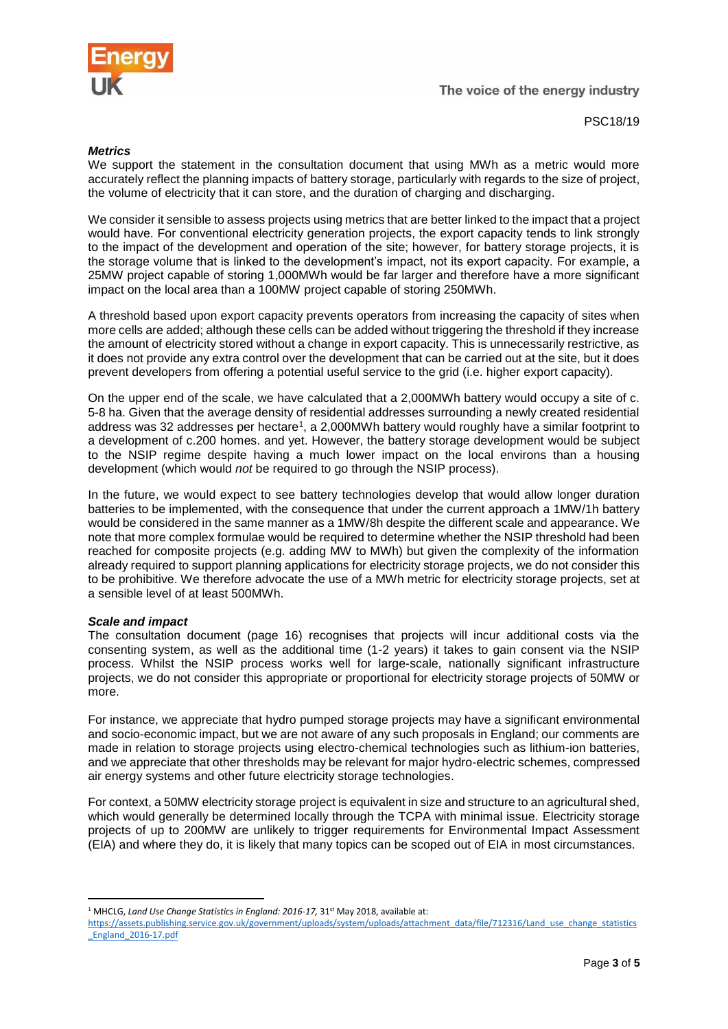

PSC18/19

## *Metrics*

We support the statement in the consultation document that using MWh as a metric would more accurately reflect the planning impacts of battery storage, particularly with regards to the size of project, the volume of electricity that it can store, and the duration of charging and discharging.

We consider it sensible to assess projects using metrics that are better linked to the impact that a project would have. For conventional electricity generation projects, the export capacity tends to link strongly to the impact of the development and operation of the site; however, for battery storage projects, it is the storage volume that is linked to the development's impact, not its export capacity. For example, a 25MW project capable of storing 1,000MWh would be far larger and therefore have a more significant impact on the local area than a 100MW project capable of storing 250MWh.

A threshold based upon export capacity prevents operators from increasing the capacity of sites when more cells are added; although these cells can be added without triggering the threshold if they increase the amount of electricity stored without a change in export capacity. This is unnecessarily restrictive, as it does not provide any extra control over the development that can be carried out at the site, but it does prevent developers from offering a potential useful service to the grid (i.e. higher export capacity).

On the upper end of the scale, we have calculated that a 2,000MWh battery would occupy a site of c. 5-8 ha. Given that the average density of residential addresses surrounding a newly created residential address was 32 addresses per hectare<sup>1</sup>, a 2,000MWh battery would roughly have a similar footprint to a development of c.200 homes. and yet. However, the battery storage development would be subject to the NSIP regime despite having a much lower impact on the local environs than a housing development (which would *not* be required to go through the NSIP process).

In the future, we would expect to see battery technologies develop that would allow longer duration batteries to be implemented, with the consequence that under the current approach a 1MW/1h battery would be considered in the same manner as a 1MW/8h despite the different scale and appearance. We note that more complex formulae would be required to determine whether the NSIP threshold had been reached for composite projects (e.g. adding MW to MWh) but given the complexity of the information already required to support planning applications for electricity storage projects, we do not consider this to be prohibitive. We therefore advocate the use of a MWh metric for electricity storage projects, set at a sensible level of at least 500MWh.

## *Scale and impact*

The consultation document (page 16) recognises that projects will incur additional costs via the consenting system, as well as the additional time (1-2 years) it takes to gain consent via the NSIP process. Whilst the NSIP process works well for large-scale, nationally significant infrastructure projects, we do not consider this appropriate or proportional for electricity storage projects of 50MW or more.

For instance, we appreciate that hydro pumped storage projects may have a significant environmental and socio-economic impact, but we are not aware of any such proposals in England; our comments are made in relation to storage projects using electro-chemical technologies such as lithium-ion batteries, and we appreciate that other thresholds may be relevant for major hydro-electric schemes, compressed air energy systems and other future electricity storage technologies.

For context, a 50MW electricity storage project is equivalent in size and structure to an agricultural shed, which would generally be determined locally through the TCPA with minimal issue. Electricity storage projects of up to 200MW are unlikely to trigger requirements for Environmental Impact Assessment (EIA) and where they do, it is likely that many topics can be scoped out of EIA in most circumstances.

**<sup>.</sup>** <sup>1</sup> MHCLG, *Land Use Change Statistics in England: 2016-17*, 31<sup>st</sup> May 2018, available at:

[https://assets.publishing.service.gov.uk/government/uploads/system/uploads/attachment\\_data/file/712316/Land\\_use\\_change\\_statistics](https://assets.publishing.service.gov.uk/government/uploads/system/uploads/attachment_data/file/712316/Land_use_change_statistics_England_2016-17.pdf) [\\_England\\_2016-17.pdf](https://assets.publishing.service.gov.uk/government/uploads/system/uploads/attachment_data/file/712316/Land_use_change_statistics_England_2016-17.pdf)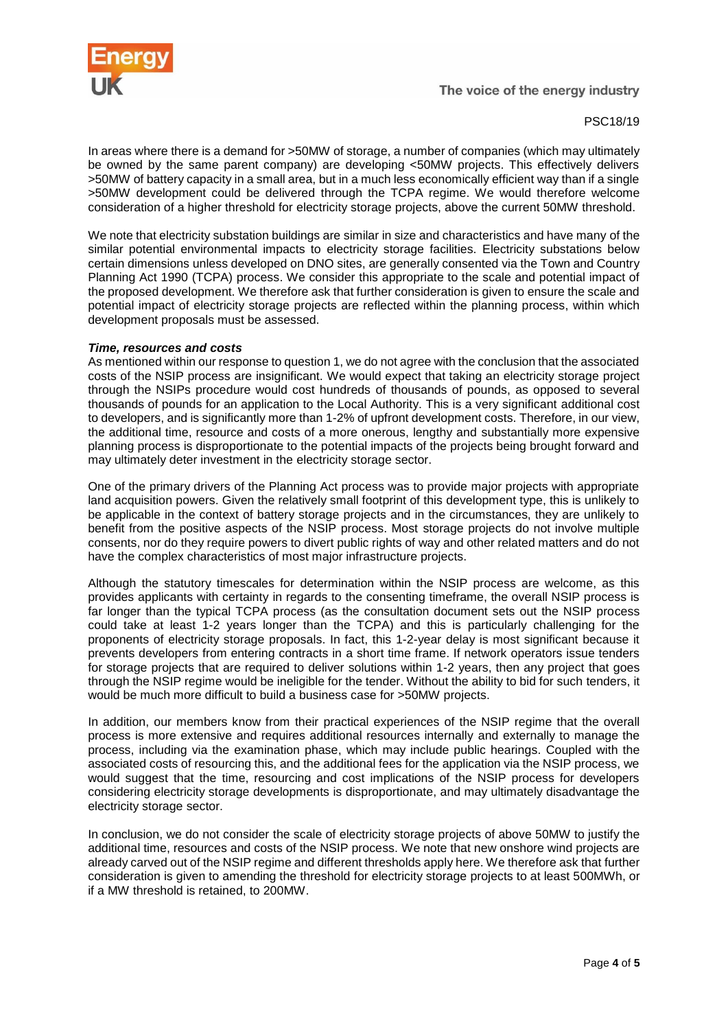

## PSC18/19

In areas where there is a demand for >50MW of storage, a number of companies (which may ultimately be owned by the same parent company) are developing <50MW projects. This effectively delivers >50MW of battery capacity in a small area, but in a much less economically efficient way than if a single >50MW development could be delivered through the TCPA regime. We would therefore welcome consideration of a higher threshold for electricity storage projects, above the current 50MW threshold.

We note that electricity substation buildings are similar in size and characteristics and have many of the similar potential environmental impacts to electricity storage facilities. Electricity substations below certain dimensions unless developed on DNO sites, are generally consented via the Town and Country Planning Act 1990 (TCPA) process. We consider this appropriate to the scale and potential impact of the proposed development. We therefore ask that further consideration is given to ensure the scale and potential impact of electricity storage projects are reflected within the planning process, within which development proposals must be assessed.

#### *Time, resources and costs*

As mentioned within our response to question 1, we do not agree with the conclusion that the associated costs of the NSIP process are insignificant. We would expect that taking an electricity storage project through the NSIPs procedure would cost hundreds of thousands of pounds, as opposed to several thousands of pounds for an application to the Local Authority. This is a very significant additional cost to developers, and is significantly more than 1-2% of upfront development costs. Therefore, in our view, the additional time, resource and costs of a more onerous, lengthy and substantially more expensive planning process is disproportionate to the potential impacts of the projects being brought forward and may ultimately deter investment in the electricity storage sector.

One of the primary drivers of the Planning Act process was to provide major projects with appropriate land acquisition powers. Given the relatively small footprint of this development type, this is unlikely to be applicable in the context of battery storage projects and in the circumstances, they are unlikely to benefit from the positive aspects of the NSIP process. Most storage projects do not involve multiple consents, nor do they require powers to divert public rights of way and other related matters and do not have the complex characteristics of most major infrastructure projects.

Although the statutory timescales for determination within the NSIP process are welcome, as this provides applicants with certainty in regards to the consenting timeframe, the overall NSIP process is far longer than the typical TCPA process (as the consultation document sets out the NSIP process could take at least 1-2 years longer than the TCPA) and this is particularly challenging for the proponents of electricity storage proposals. In fact, this 1-2-year delay is most significant because it prevents developers from entering contracts in a short time frame. If network operators issue tenders for storage projects that are required to deliver solutions within 1-2 years, then any project that goes through the NSIP regime would be ineligible for the tender. Without the ability to bid for such tenders, it would be much more difficult to build a business case for >50MW projects.

In addition, our members know from their practical experiences of the NSIP regime that the overall process is more extensive and requires additional resources internally and externally to manage the process, including via the examination phase, which may include public hearings. Coupled with the associated costs of resourcing this, and the additional fees for the application via the NSIP process, we would suggest that the time, resourcing and cost implications of the NSIP process for developers considering electricity storage developments is disproportionate, and may ultimately disadvantage the electricity storage sector.

In conclusion, we do not consider the scale of electricity storage projects of above 50MW to justify the additional time, resources and costs of the NSIP process. We note that new onshore wind projects are already carved out of the NSIP regime and different thresholds apply here. We therefore ask that further consideration is given to amending the threshold for electricity storage projects to at least 500MWh, or if a MW threshold is retained, to 200MW.